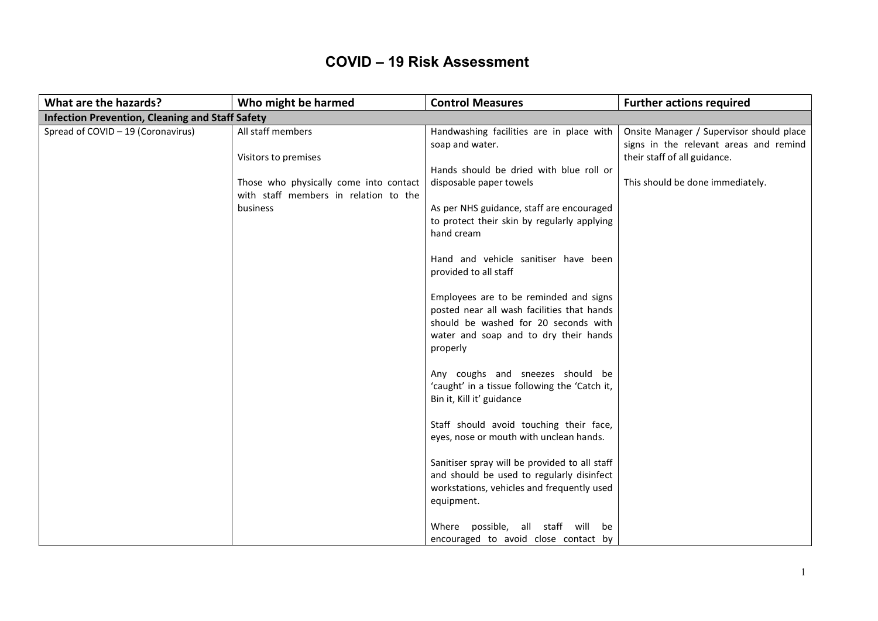## COVID – 19 Risk Assessment

| What are the hazards?                                  | Who might be harmed                                                                         | <b>Control Measures</b>                                                                                                                                                                                                                                                                                                                                                                                                                                                                                                 | <b>Further actions required</b>                                                                                    |
|--------------------------------------------------------|---------------------------------------------------------------------------------------------|-------------------------------------------------------------------------------------------------------------------------------------------------------------------------------------------------------------------------------------------------------------------------------------------------------------------------------------------------------------------------------------------------------------------------------------------------------------------------------------------------------------------------|--------------------------------------------------------------------------------------------------------------------|
| <b>Infection Prevention, Cleaning and Staff Safety</b> |                                                                                             |                                                                                                                                                                                                                                                                                                                                                                                                                                                                                                                         |                                                                                                                    |
| Spread of COVID - 19 (Coronavirus)                     | All staff members<br>Visitors to premises                                                   | Handwashing facilities are in place with<br>soap and water.                                                                                                                                                                                                                                                                                                                                                                                                                                                             | Onsite Manager / Supervisor should place<br>signs in the relevant areas and remind<br>their staff of all guidance. |
|                                                        | Those who physically come into contact<br>with staff members in relation to the<br>business | Hands should be dried with blue roll or<br>disposable paper towels<br>As per NHS guidance, staff are encouraged<br>to protect their skin by regularly applying<br>hand cream<br>Hand and vehicle sanitiser have been<br>provided to all staff<br>Employees are to be reminded and signs<br>posted near all wash facilities that hands<br>should be washed for 20 seconds with<br>water and soap and to dry their hands<br>properly<br>Any coughs and sneezes should be<br>'caught' in a tissue following the 'Catch it, | This should be done immediately.                                                                                   |
|                                                        |                                                                                             | Bin it, Kill it' guidance<br>Staff should avoid touching their face,<br>eyes, nose or mouth with unclean hands.<br>Sanitiser spray will be provided to all staff<br>and should be used to regularly disinfect<br>workstations, vehicles and frequently used<br>equipment.<br>Where possible, all staff will be<br>encouraged to avoid close contact by                                                                                                                                                                  |                                                                                                                    |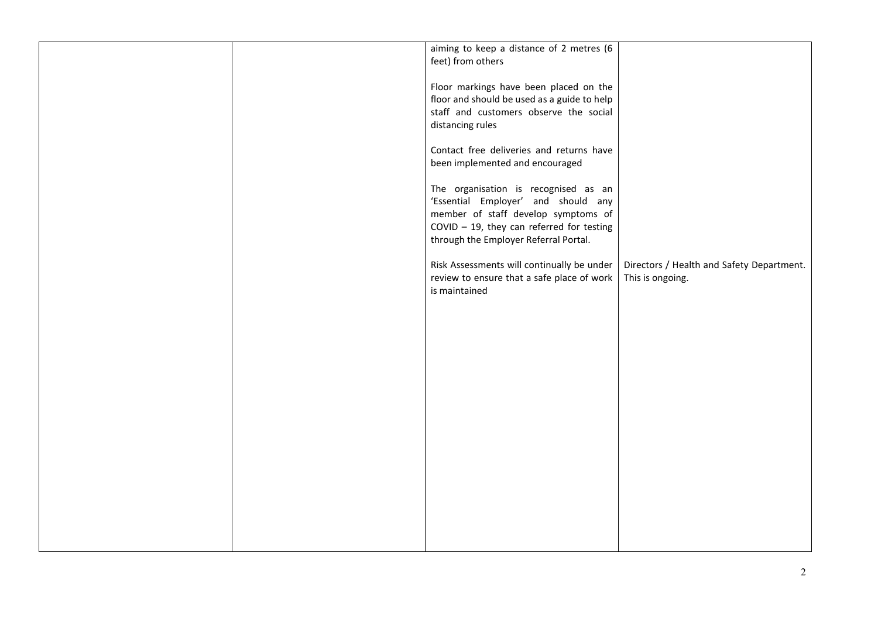|  | aiming to keep a distance of 2 metres (6    |                                           |
|--|---------------------------------------------|-------------------------------------------|
|  |                                             |                                           |
|  | feet) from others                           |                                           |
|  |                                             |                                           |
|  |                                             |                                           |
|  | Floor markings have been placed on the      |                                           |
|  |                                             |                                           |
|  | floor and should be used as a guide to help |                                           |
|  | staff and customers observe the social      |                                           |
|  |                                             |                                           |
|  | distancing rules                            |                                           |
|  |                                             |                                           |
|  |                                             |                                           |
|  | Contact free deliveries and returns have    |                                           |
|  |                                             |                                           |
|  | been implemented and encouraged             |                                           |
|  |                                             |                                           |
|  |                                             |                                           |
|  | The organisation is recognised as an        |                                           |
|  |                                             |                                           |
|  | 'Essential Employer' and should any         |                                           |
|  |                                             |                                           |
|  | member of staff develop symptoms of         |                                           |
|  |                                             |                                           |
|  | COVID $-$ 19, they can referred for testing |                                           |
|  | through the Employer Referral Portal.       |                                           |
|  |                                             |                                           |
|  |                                             |                                           |
|  |                                             |                                           |
|  | Risk Assessments will continually be under  | Directors / Health and Safety Department. |
|  | review to ensure that a safe place of work  | This is ongoing.                          |
|  |                                             |                                           |
|  | is maintained                               |                                           |
|  |                                             |                                           |
|  |                                             |                                           |
|  |                                             |                                           |
|  |                                             |                                           |
|  |                                             |                                           |
|  |                                             |                                           |
|  |                                             |                                           |
|  |                                             |                                           |
|  |                                             |                                           |
|  |                                             |                                           |
|  |                                             |                                           |
|  |                                             |                                           |
|  |                                             |                                           |
|  |                                             |                                           |
|  |                                             |                                           |
|  |                                             |                                           |
|  |                                             |                                           |
|  |                                             |                                           |
|  |                                             |                                           |
|  |                                             |                                           |
|  |                                             |                                           |
|  |                                             |                                           |
|  |                                             |                                           |
|  |                                             |                                           |
|  |                                             |                                           |
|  |                                             |                                           |
|  |                                             |                                           |
|  |                                             |                                           |
|  |                                             |                                           |
|  |                                             |                                           |
|  |                                             |                                           |
|  |                                             |                                           |
|  |                                             |                                           |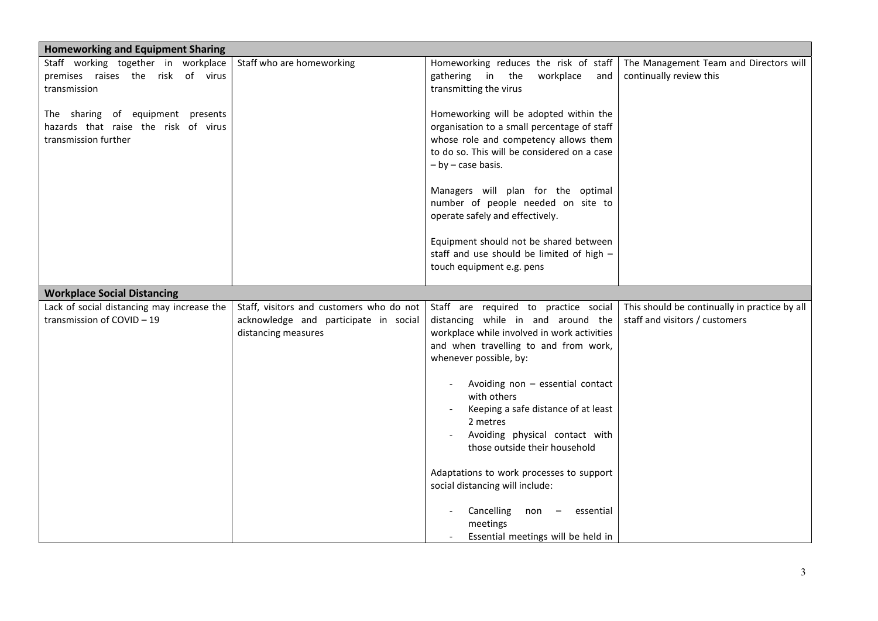| <b>Homeworking and Equipment Sharing</b>                                                          |                                                                                                          |                                                                                                                                                                                                                                                                                                                                                                                                               |                                                                                 |
|---------------------------------------------------------------------------------------------------|----------------------------------------------------------------------------------------------------------|---------------------------------------------------------------------------------------------------------------------------------------------------------------------------------------------------------------------------------------------------------------------------------------------------------------------------------------------------------------------------------------------------------------|---------------------------------------------------------------------------------|
| Staff working together in workplace<br>premises raises the risk of virus<br>transmission          | Staff who are homeworking                                                                                | Homeworking reduces the risk of staff<br>gathering in the<br>workplace<br>and<br>transmitting the virus                                                                                                                                                                                                                                                                                                       | The Management Team and Directors will<br>continually review this               |
| The sharing of equipment presents<br>hazards that raise the risk of virus<br>transmission further |                                                                                                          | Homeworking will be adopted within the<br>organisation to a small percentage of staff<br>whose role and competency allows them<br>to do so. This will be considered on a case<br>$-$ by $-$ case basis.<br>Managers will plan for the optimal<br>number of people needed on site to<br>operate safely and effectively.<br>Equipment should not be shared between<br>staff and use should be limited of high - |                                                                                 |
|                                                                                                   |                                                                                                          | touch equipment e.g. pens                                                                                                                                                                                                                                                                                                                                                                                     |                                                                                 |
| <b>Workplace Social Distancing</b>                                                                |                                                                                                          |                                                                                                                                                                                                                                                                                                                                                                                                               |                                                                                 |
| Lack of social distancing may increase the<br>transmission of COVID-19                            | Staff, visitors and customers who do not<br>acknowledge and participate in social<br>distancing measures | Staff are required to practice social<br>distancing while in and around the<br>workplace while involved in work activities<br>and when travelling to and from work,<br>whenever possible, by:<br>Avoiding non - essential contact<br>with others<br>Keeping a safe distance of at least<br>2 metres<br>Avoiding physical contact with<br>those outside their household                                        | This should be continually in practice by all<br>staff and visitors / customers |
|                                                                                                   |                                                                                                          | Adaptations to work processes to support<br>social distancing will include:<br>Cancelling<br>non<br>essential<br>meetings<br>Essential meetings will be held in                                                                                                                                                                                                                                               |                                                                                 |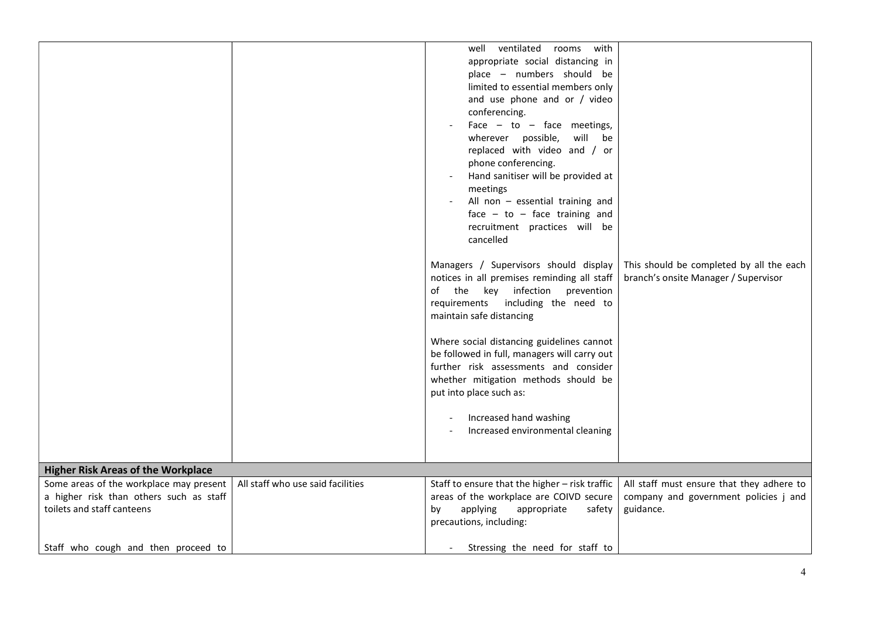| <b>Higher Risk Areas of the Workplace</b> |                                   | well ventilated<br>rooms<br>with<br>appropriate social distancing in<br>place - numbers should be<br>limited to essential members only<br>and use phone and or / video<br>conferencing.<br>Face $-$ to $-$ face meetings,<br>wherever possible,<br>will be<br>replaced with video and / or<br>phone conferencing.<br>Hand sanitiser will be provided at<br>meetings<br>All non - essential training and<br>face $-$ to $-$ face training and<br>recruitment practices will be<br>cancelled<br>Managers / Supervisors should display<br>notices in all premises reminding all staff<br>of the key infection<br>prevention<br>requirements including the need to<br>maintain safe distancing<br>Where social distancing guidelines cannot<br>be followed in full, managers will carry out<br>further risk assessments and consider<br>whether mitigation methods should be<br>put into place such as:<br>Increased hand washing<br>Increased environmental cleaning | This should be completed by all the each<br>branch's onsite Manager / Supervisor |
|-------------------------------------------|-----------------------------------|-------------------------------------------------------------------------------------------------------------------------------------------------------------------------------------------------------------------------------------------------------------------------------------------------------------------------------------------------------------------------------------------------------------------------------------------------------------------------------------------------------------------------------------------------------------------------------------------------------------------------------------------------------------------------------------------------------------------------------------------------------------------------------------------------------------------------------------------------------------------------------------------------------------------------------------------------------------------|----------------------------------------------------------------------------------|
| Some areas of the workplace may present   | All staff who use said facilities | Staff to ensure that the higher - risk traffic                                                                                                                                                                                                                                                                                                                                                                                                                                                                                                                                                                                                                                                                                                                                                                                                                                                                                                                    | All staff must ensure that they adhere to                                        |
|                                           |                                   |                                                                                                                                                                                                                                                                                                                                                                                                                                                                                                                                                                                                                                                                                                                                                                                                                                                                                                                                                                   |                                                                                  |
| a higher risk than others such as staff   |                                   | areas of the workplace are COIVD secure                                                                                                                                                                                                                                                                                                                                                                                                                                                                                                                                                                                                                                                                                                                                                                                                                                                                                                                           | company and government policies j and                                            |
| toilets and staff canteens                |                                   | applying<br>by<br>appropriate<br>safety                                                                                                                                                                                                                                                                                                                                                                                                                                                                                                                                                                                                                                                                                                                                                                                                                                                                                                                           | guidance.                                                                        |
|                                           |                                   | precautions, including:                                                                                                                                                                                                                                                                                                                                                                                                                                                                                                                                                                                                                                                                                                                                                                                                                                                                                                                                           |                                                                                  |
|                                           |                                   |                                                                                                                                                                                                                                                                                                                                                                                                                                                                                                                                                                                                                                                                                                                                                                                                                                                                                                                                                                   |                                                                                  |
| Staff who cough and then proceed to       |                                   | Stressing the need for staff to                                                                                                                                                                                                                                                                                                                                                                                                                                                                                                                                                                                                                                                                                                                                                                                                                                                                                                                                   |                                                                                  |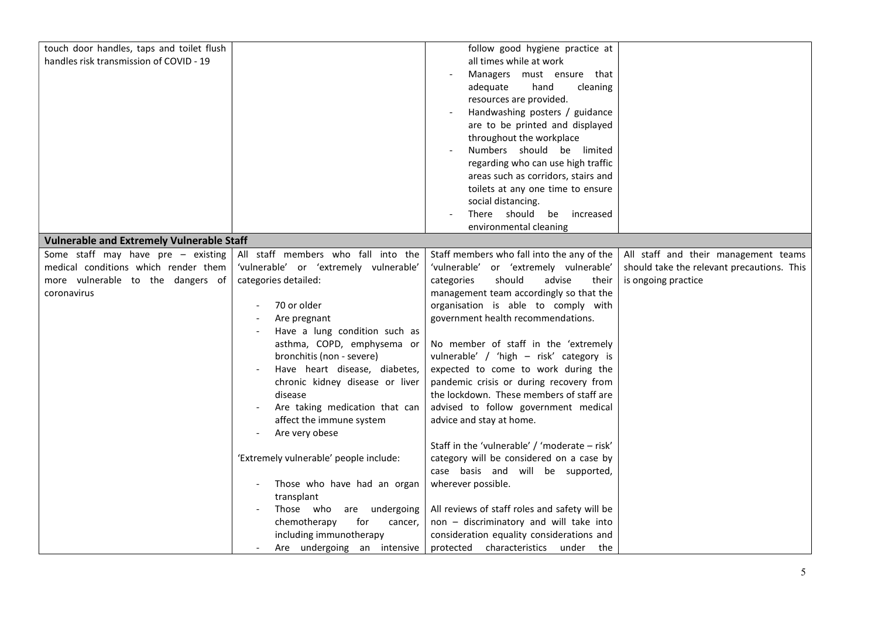| touch door handles, taps and toilet flush        |                                        | follow good hygiene practice at               |                                            |
|--------------------------------------------------|----------------------------------------|-----------------------------------------------|--------------------------------------------|
| handles risk transmission of COVID - 19          |                                        | all times while at work                       |                                            |
|                                                  |                                        | Managers must ensure that                     |                                            |
|                                                  |                                        | adequate<br>hand<br>cleaning                  |                                            |
|                                                  |                                        | resources are provided.                       |                                            |
|                                                  |                                        |                                               |                                            |
|                                                  |                                        | Handwashing posters / guidance                |                                            |
|                                                  |                                        | are to be printed and displayed               |                                            |
|                                                  |                                        | throughout the workplace                      |                                            |
|                                                  |                                        | Numbers should be limited                     |                                            |
|                                                  |                                        | regarding who can use high traffic            |                                            |
|                                                  |                                        | areas such as corridors, stairs and           |                                            |
|                                                  |                                        | toilets at any one time to ensure             |                                            |
|                                                  |                                        | social distancing.                            |                                            |
|                                                  |                                        | There should be increased                     |                                            |
|                                                  |                                        | environmental cleaning                        |                                            |
| <b>Vulnerable and Extremely Vulnerable Staff</b> |                                        |                                               |                                            |
| Some staff may have pre $-$ existing             | All staff members who fall into the    | Staff members who fall into the any of the    | All staff and their management teams       |
| medical conditions which render them             | 'vulnerable' or 'extremely vulnerable' | 'vulnerable' or 'extremely vulnerable'        | should take the relevant precautions. This |
| more vulnerable to the dangers of                | categories detailed:                   | should<br>advise<br>their<br>categories       | is ongoing practice                        |
| coronavirus                                      |                                        | management team accordingly so that the       |                                            |
|                                                  | 70 or older                            | organisation is able to comply with           |                                            |
|                                                  | Are pregnant                           | government health recommendations.            |                                            |
|                                                  | Have a lung condition such as          |                                               |                                            |
|                                                  | asthma, COPD, emphysema or             | No member of staff in the 'extremely          |                                            |
|                                                  | bronchitis (non - severe)              | vulnerable' / 'high - risk' category is       |                                            |
|                                                  | Have heart disease, diabetes,          | expected to come to work during the           |                                            |
|                                                  |                                        |                                               |                                            |
|                                                  | chronic kidney disease or liver        | pandemic crisis or during recovery from       |                                            |
|                                                  | disease                                | the lockdown. These members of staff are      |                                            |
|                                                  | Are taking medication that can         | advised to follow government medical          |                                            |
|                                                  | affect the immune system               | advice and stay at home.                      |                                            |
|                                                  | Are very obese                         |                                               |                                            |
|                                                  |                                        | Staff in the 'vulnerable' / 'moderate - risk' |                                            |
|                                                  | 'Extremely vulnerable' people include: | category will be considered on a case by      |                                            |
|                                                  |                                        | case basis and will be supported,             |                                            |
|                                                  | Those who have had an organ<br>$\sim$  | wherever possible.                            |                                            |
|                                                  | transplant                             |                                               |                                            |
|                                                  | Those who are undergoing               | All reviews of staff roles and safety will be |                                            |
|                                                  | for<br>chemotherapy<br>cancer,         | non - discriminatory and will take into       |                                            |
|                                                  | including immunotherapy                | consideration equality considerations and     |                                            |
|                                                  | Are undergoing an intensive            | protected characteristics under the           |                                            |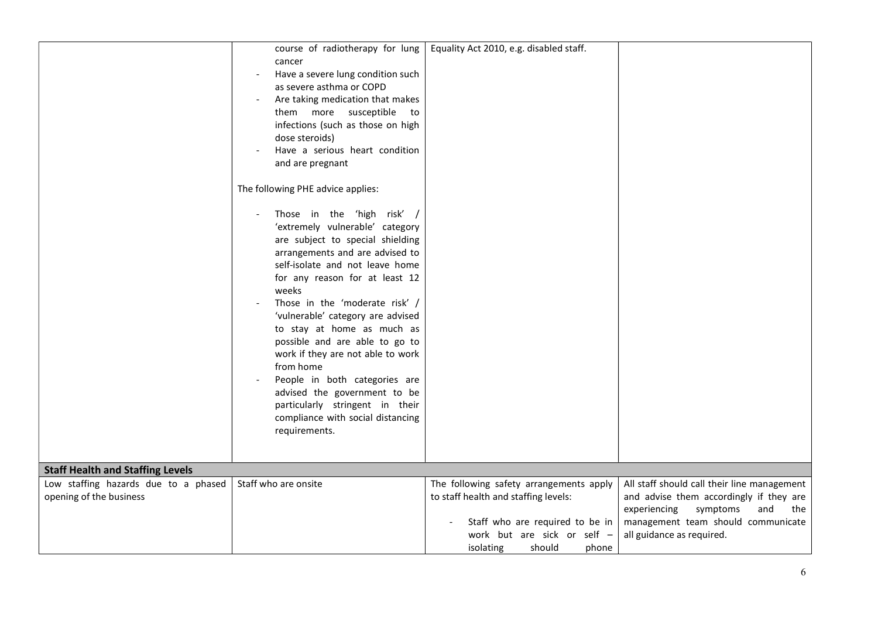|                                         | course of radiotherapy for lung   | Equality Act 2010, e.g. disabled staff. |                                             |
|-----------------------------------------|-----------------------------------|-----------------------------------------|---------------------------------------------|
|                                         | cancer                            |                                         |                                             |
|                                         | Have a severe lung condition such |                                         |                                             |
|                                         | as severe asthma or COPD          |                                         |                                             |
|                                         | Are taking medication that makes  |                                         |                                             |
|                                         | them more susceptible<br>to       |                                         |                                             |
|                                         | infections (such as those on high |                                         |                                             |
|                                         | dose steroids)                    |                                         |                                             |
|                                         | Have a serious heart condition    |                                         |                                             |
|                                         | and are pregnant                  |                                         |                                             |
|                                         |                                   |                                         |                                             |
|                                         | The following PHE advice applies: |                                         |                                             |
|                                         |                                   |                                         |                                             |
|                                         | Those in the 'high risk' /        |                                         |                                             |
|                                         | 'extremely vulnerable' category   |                                         |                                             |
|                                         | are subject to special shielding  |                                         |                                             |
|                                         | arrangements and are advised to   |                                         |                                             |
|                                         | self-isolate and not leave home   |                                         |                                             |
|                                         | for any reason for at least 12    |                                         |                                             |
|                                         | weeks                             |                                         |                                             |
|                                         | Those in the 'moderate risk' /    |                                         |                                             |
|                                         | 'vulnerable' category are advised |                                         |                                             |
|                                         | to stay at home as much as        |                                         |                                             |
|                                         | possible and are able to go to    |                                         |                                             |
|                                         | work if they are not able to work |                                         |                                             |
|                                         | from home                         |                                         |                                             |
|                                         | People in both categories are     |                                         |                                             |
|                                         | advised the government to be      |                                         |                                             |
|                                         | particularly stringent in their   |                                         |                                             |
|                                         | compliance with social distancing |                                         |                                             |
|                                         | requirements.                     |                                         |                                             |
|                                         |                                   |                                         |                                             |
|                                         |                                   |                                         |                                             |
| <b>Staff Health and Staffing Levels</b> |                                   |                                         |                                             |
| Low staffing hazards due to a phased    | Staff who are onsite              | The following safety arrangements apply | All staff should call their line management |
| opening of the business                 |                                   | to staff health and staffing levels:    | and advise them accordingly if they are     |
|                                         |                                   |                                         | experiencing<br>symptoms<br>and<br>the      |
|                                         |                                   | Staff who are required to be in         | management team should communicate          |
|                                         |                                   | work but are sick or self -             | all guidance as required.                   |
|                                         |                                   | isolating<br>should<br>phone            |                                             |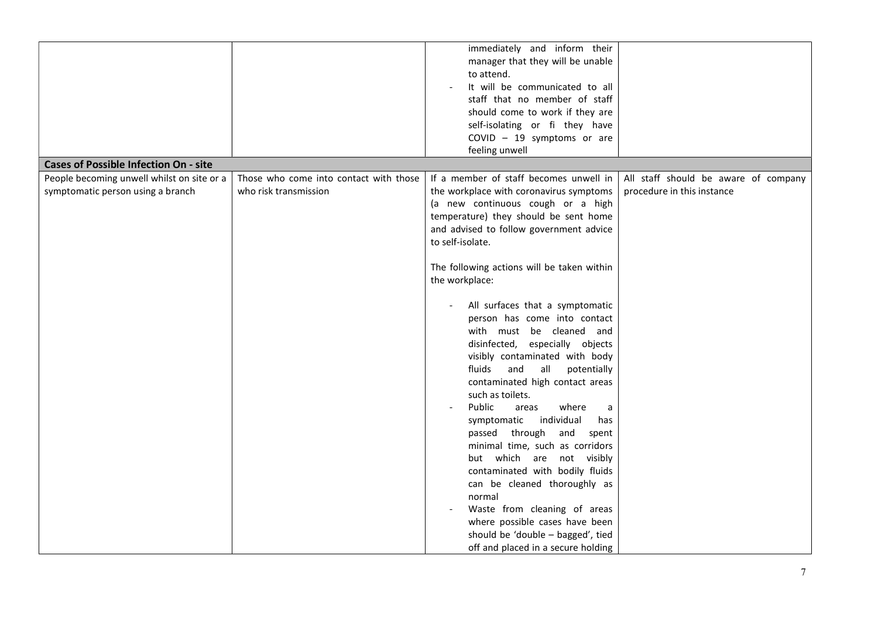|                                              |                                        | immediately and inform their               |                                      |
|----------------------------------------------|----------------------------------------|--------------------------------------------|--------------------------------------|
|                                              |                                        | manager that they will be unable           |                                      |
|                                              |                                        | to attend.                                 |                                      |
|                                              |                                        |                                            |                                      |
|                                              |                                        | It will be communicated to all             |                                      |
|                                              |                                        | staff that no member of staff              |                                      |
|                                              |                                        | should come to work if they are            |                                      |
|                                              |                                        | self-isolating or fi they have             |                                      |
|                                              |                                        | COVID $-19$ symptoms or are                |                                      |
|                                              |                                        | feeling unwell                             |                                      |
| <b>Cases of Possible Infection On - site</b> |                                        |                                            |                                      |
| People becoming unwell whilst on site or a   | Those who come into contact with those | If a member of staff becomes unwell in     | All staff should be aware of company |
| symptomatic person using a branch            | who risk transmission                  | the workplace with coronavirus symptoms    | procedure in this instance           |
|                                              |                                        | (a new continuous cough or a high          |                                      |
|                                              |                                        | temperature) they should be sent home      |                                      |
|                                              |                                        | and advised to follow government advice    |                                      |
|                                              |                                        | to self-isolate.                           |                                      |
|                                              |                                        |                                            |                                      |
|                                              |                                        | The following actions will be taken within |                                      |
|                                              |                                        | the workplace:                             |                                      |
|                                              |                                        |                                            |                                      |
|                                              |                                        | All surfaces that a symptomatic            |                                      |
|                                              |                                        | person has come into contact               |                                      |
|                                              |                                        | with must be cleaned and                   |                                      |
|                                              |                                        | disinfected, especially objects            |                                      |
|                                              |                                        |                                            |                                      |
|                                              |                                        | visibly contaminated with body             |                                      |
|                                              |                                        | fluids<br>and<br>all<br>potentially        |                                      |
|                                              |                                        | contaminated high contact areas            |                                      |
|                                              |                                        | such as toilets.                           |                                      |
|                                              |                                        | Public<br>where<br>areas<br>a              |                                      |
|                                              |                                        | symptomatic<br>individual<br>has           |                                      |
|                                              |                                        | passed through<br>and<br>spent             |                                      |
|                                              |                                        | minimal time, such as corridors            |                                      |
|                                              |                                        | but which are not visibly                  |                                      |
|                                              |                                        | contaminated with bodily fluids            |                                      |
|                                              |                                        | can be cleaned thoroughly as               |                                      |
|                                              |                                        | normal                                     |                                      |
|                                              |                                        | Waste from cleaning of areas               |                                      |
|                                              |                                        | where possible cases have been             |                                      |
|                                              |                                        | should be 'double - bagged', tied          |                                      |
|                                              |                                        | off and placed in a secure holding         |                                      |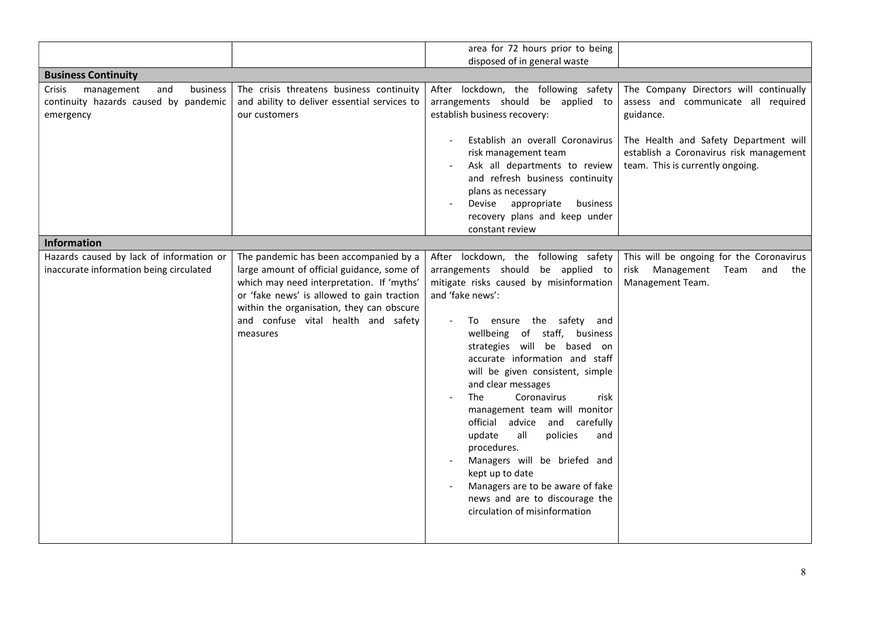|                                                                                               |                                                                                                                                                                                                                                                                                 | area for 72 hours prior to being                                                                                                                                                                                                                                                                                                                                                                                                                                                                                                                                                                                                                         |                                                                                                                                                                                                                    |
|-----------------------------------------------------------------------------------------------|---------------------------------------------------------------------------------------------------------------------------------------------------------------------------------------------------------------------------------------------------------------------------------|----------------------------------------------------------------------------------------------------------------------------------------------------------------------------------------------------------------------------------------------------------------------------------------------------------------------------------------------------------------------------------------------------------------------------------------------------------------------------------------------------------------------------------------------------------------------------------------------------------------------------------------------------------|--------------------------------------------------------------------------------------------------------------------------------------------------------------------------------------------------------------------|
|                                                                                               |                                                                                                                                                                                                                                                                                 | disposed of in general waste                                                                                                                                                                                                                                                                                                                                                                                                                                                                                                                                                                                                                             |                                                                                                                                                                                                                    |
| <b>Business Continuity</b>                                                                    |                                                                                                                                                                                                                                                                                 |                                                                                                                                                                                                                                                                                                                                                                                                                                                                                                                                                                                                                                                          |                                                                                                                                                                                                                    |
| management<br>business<br>Crisis<br>and<br>continuity hazards caused by pandemic<br>emergency | The crisis threatens business continuity<br>and ability to deliver essential services to<br>our customers                                                                                                                                                                       | After lockdown, the following safety<br>arrangements should be applied to<br>establish business recovery:<br>Establish an overall Coronavirus<br>risk management team<br>Ask all departments to review<br>and refresh business continuity<br>plans as necessary<br>appropriate<br>business<br>Devise                                                                                                                                                                                                                                                                                                                                                     | The Company Directors will continually<br>assess and communicate all required<br>guidance.<br>The Health and Safety Department will<br>establish a Coronavirus risk management<br>team. This is currently ongoing. |
|                                                                                               |                                                                                                                                                                                                                                                                                 | recovery plans and keep under<br>constant review                                                                                                                                                                                                                                                                                                                                                                                                                                                                                                                                                                                                         |                                                                                                                                                                                                                    |
| <b>Information</b>                                                                            |                                                                                                                                                                                                                                                                                 |                                                                                                                                                                                                                                                                                                                                                                                                                                                                                                                                                                                                                                                          |                                                                                                                                                                                                                    |
| Hazards caused by lack of information or<br>inaccurate information being circulated           | The pandemic has been accompanied by a<br>large amount of official guidance, some of<br>which may need interpretation. If 'myths'<br>or 'fake news' is allowed to gain traction<br>within the organisation, they can obscure<br>and confuse vital health and safety<br>measures | After lockdown, the following safety<br>arrangements should be applied to<br>mitigate risks caused by misinformation<br>and 'fake news':<br>ensure the safety and<br>To<br>wellbeing of staff,<br>business<br>strategies will be based on<br>accurate information and staff<br>will be given consistent, simple<br>and clear messages<br><b>The</b><br>Coronavirus<br>risk<br>management team will monitor<br>official advice and carefully<br>all<br>policies<br>update<br>and<br>procedures.<br>Managers will be briefed and<br>kept up to date<br>Managers are to be aware of fake<br>news and are to discourage the<br>circulation of misinformation | This will be ongoing for the Coronavirus<br>Management<br>risk<br>Team<br>and<br>the<br>Management Team.                                                                                                           |